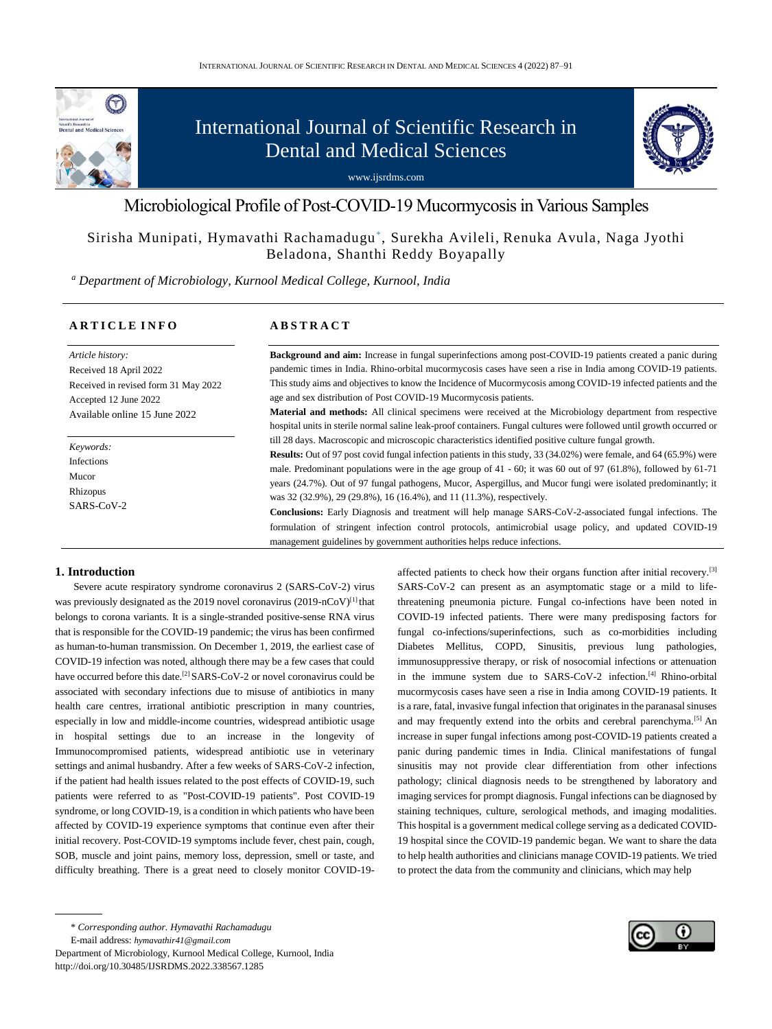

# International Journal of Scientific Research in Dental and Medical Sciences





# Sirisha Munipati, Hymavathi Rachamadugu\* , Surekha Avileli, Renuka Avula, Naga Jyothi Beladona, Shanthi Reddy Boyapally

*<sup>a</sup> Department of Microbiology, Kurnool Medical College, Kurnool, India*

#### **A R T I C L E I N F O**

### **A B S T R A C T**

*Article history:* Received 18 April 2022 Received in revised form 31 May 2022 Accepted 12 June 2022 Available online 15 June 2022

*Keywords:* Infections Mucor Rhizopus SARS-CoV-2 **Background and aim:** Increase in fungal superinfections among post-COVID-19 patients created a panic during pandemic times in India. Rhino-orbital mucormycosis cases have seen a rise in India among COVID-19 patients. This study aims and objectives to know the Incidence of Mucormycosis among COVID-19 infected patients and the age and sex distribution of Post COVID-19 Mucormycosis patients.

**Material and methods:** All clinical specimens were received at the Microbiology department from respective hospital units in sterile normal saline leak-proof containers. Fungal cultures were followed until growth occurred or till 28 days. Macroscopic and microscopic characteristics identified positive culture fungal growth.

**Results:** Out of 97 post covid fungal infection patients in this study, 33 (34.02%) were female, and 64 (65.9%) were male. Predominant populations were in the age group of 41 - 60; it was 60 out of 97 (61.8%), followed by 61-71 years (24.7%). Out of 97 fungal pathogens, Mucor, Aspergillus, and Mucor fungi were isolated predominantly; it was 32 (32.9%), 29 (29.8%), 16 (16.4%), and 11 (11.3%), respectively.

**Conclusions:** Early Diagnosis and treatment will help manage SARS-CoV-2-associated fungal infections. The formulation of stringent infection control protocols, antimicrobial usage policy, and updated COVID-19 management guidelines by government authorities helps reduce infections.

#### **1. Introduction**

Severe acute respiratory syndrome coronavirus 2 (SARS-CoV-2) virus was previously designated as the 2019 novel coronavirus (2019-nCoV) $^{[1]}$  that belongs to corona variants. It is a single-stranded positive-sense RNA virus that is responsible for the COVID-19 pandemic; the virus has been confirmed as human-to-human transmission. On December 1, 2019, the earliest case of COVID-19 infection was noted, although there may be a few cases that could have occurred before this date.<sup>[2]</sup> SARS-CoV-2 or novel coronavirus could be associated with secondary infections due to misuse of antibiotics in many health care centres, irrational antibiotic prescription in many countries, especially in low and middle-income countries, widespread antibiotic usage in hospital settings due to an increase in the longevity of Immunocompromised patients, widespread antibiotic use in veterinary settings and animal husbandry. After a few weeks of SARS-CoV-2 infection, if the patient had health issues related to the post effects of COVID-19, such patients were referred to as "Post-COVID-19 patients". Post COVID-19 syndrome, or long COVID-19, is a condition in which patients who have been affected by COVID-19 experience symptoms that continue even after their initial recovery. Post-COVID-19 symptoms include fever, chest pain, cough, SOB, muscle and joint pains, memory loss, depression, smell or taste, and difficulty breathing. There is a great need to closely monitor COVID-19-

E-mail address: *hymavathir41@gmail.com*

Department of Microbiology, Kurnool Medical College, Kurnool, India http://doi.org/10.30485/IJSRDMS.2022.338567.1285

affected patients to check how their organs function after initial recovery.[3] SARS-CoV-2 can present as an asymptomatic stage or a mild to lifethreatening pneumonia picture. Fungal co-infections have been noted in COVID-19 infected patients. There were many predisposing factors for fungal co-infections/superinfections, such as co-morbidities including Diabetes Mellitus, COPD, Sinusitis, previous lung pathologies, immunosuppressive therapy, or risk of nosocomial infections or attenuation in the immune system due to SARS-CoV-2 infection.[4] Rhino-orbital mucormycosis cases have seen a rise in India among COVID-19 patients. It is a rare, fatal, invasive fungal infection that originates in the paranasal sinuses and may frequently extend into the orbits and cerebral parenchyma.<sup>[5]</sup> An increase in super fungal infections among post-COVID-19 patients created a panic during pandemic times in India. Clinical manifestations of fungal sinusitis may not provide clear differentiation from other infections pathology; clinical diagnosis needs to be strengthened by laboratory and imaging services for prompt diagnosis. Fungal infections can be diagnosed by staining techniques, culture, serological methods, and imaging modalities. This hospital is a government medical college serving as a dedicated COVID-19 hospital since the COVID-19 pandemic began. We want to share the data to help health authorities and clinicians manage COVID-19 patients. We tried to protect the data from the community and clinicians, which may help



<sup>\*</sup> *Corresponding author. Hymavathi Rachamadugu*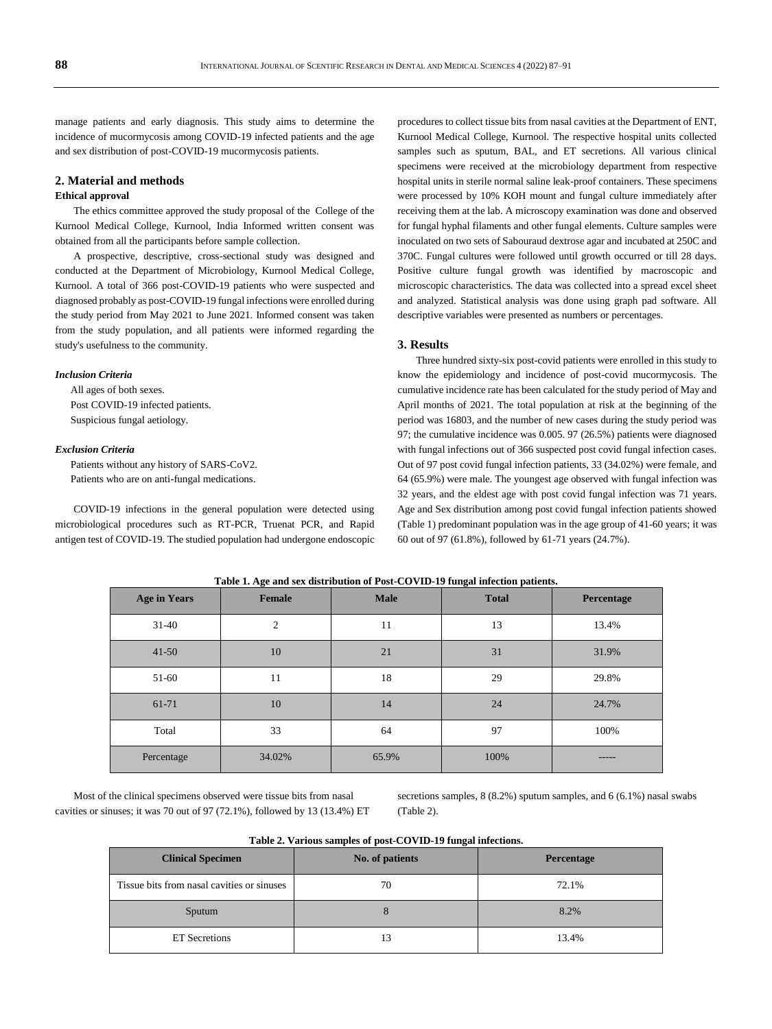manage patients and early diagnosis. This study aims to determine the incidence of mucormycosis among COVID-19 infected patients and the age and sex distribution of post-COVID-19 mucormycosis patients.

#### **2. Material and methods**

#### **Ethical approval**

The ethics committee approved the study proposal of the College of the Kurnool Medical College, Kurnool, India Informed written consent was obtained from all the participants before sample collection.

A prospective, descriptive, cross-sectional study was designed and conducted at the Department of Microbiology, Kurnool Medical College, Kurnool. A total of 366 post-COVID-19 patients who were suspected and diagnosed probably as post-COVID-19 fungal infections were enrolled during the study period from May 2021 to June 2021. Informed consent was taken from the study population, and all patients were informed regarding the study's usefulness to the community.

#### *Inclusion Criteria*

All ages of both sexes. Post COVID-19 infected patients. Suspicious fungal aetiology.

#### *Exclusion Criteria*

Patients without any history of SARS-CoV2. Patients who are on anti-fungal medications.

COVID-19 infections in the general population were detected using microbiological procedures such as RT-PCR, Truenat PCR, and Rapid antigen test of COVID-19. The studied population had undergone endoscopic

procedures to collect tissue bits from nasal cavities at the Department of ENT, Kurnool Medical College, Kurnool. The respective hospital units collected samples such as sputum, BAL, and ET secretions. All various clinical specimens were received at the microbiology department from respective hospital units in sterile normal saline leak-proof containers. These specimens were processed by 10% KOH mount and fungal culture immediately after receiving them at the lab. A microscopy examination was done and observed for fungal hyphal filaments and other fungal elements. Culture samples were inoculated on two sets of Sabouraud dextrose agar and incubated at 250C and 370C. Fungal cultures were followed until growth occurred or till 28 days. Positive culture fungal growth was identified by macroscopic and microscopic characteristics. The data was collected into a spread excel sheet and analyzed. Statistical analysis was done using graph pad software. All descriptive variables were presented as numbers or percentages.

## **3. Results**

Three hundred sixty-six post-covid patients were enrolled in this study to know the epidemiology and incidence of post-covid mucormycosis. The cumulative incidence rate has been calculated for the study period of May and April months of 2021. The total population at risk at the beginning of the period was 16803, and the number of new cases during the study period was 97; the cumulative incidence was 0.005. 97 (26.5%) patients were diagnosed with fungal infections out of 366 suspected post covid fungal infection cases. Out of 97 post covid fungal infection patients, 33 (34.02%) were female, and 64 (65.9%) were male. The youngest age observed with fungal infection was 32 years, and the eldest age with post covid fungal infection was 71 years. Age and Sex distribution among post covid fungal infection patients showed (Table 1) predominant population was in the age group of 41-60 years; it was 60 out of 97 (61.8%), followed by 61-71 years (24.7%).

| <b>Age in Years</b> | Female         | <b>Male</b> | <b>Total</b> | Percentage |
|---------------------|----------------|-------------|--------------|------------|
| $31-40$             | $\overline{2}$ | 11          | 13           | 13.4%      |
| $41 - 50$           | 10             | 21          | 31           | 31.9%      |
| 51-60               | 11             | 18          | 29           | 29.8%      |
| 61-71               | 10             | 14          | 24           | 24.7%      |
| Total               | 33             | 64          | 97           | 100%       |
| Percentage          | 34.02%         | 65.9%       | 100%         |            |

**Table 1. Age and sex distribution of Post-COVID-19 fungal infection patients.**

Most of the clinical specimens observed were tissue bits from nasal cavities or sinuses; it was 70 out of 97 (72.1%), followed by 13 (13.4%) ET secretions samples, 8 (8.2%) sputum samples, and 6 (6.1%) nasal swabs (Table 2).

**Table 2. Various samples of post-COVID-19 fungal infections.**

| <b>Clinical Specimen</b>                   | No. of patients | Percentage |  |
|--------------------------------------------|-----------------|------------|--|
| Tissue bits from nasal cavities or sinuses | 72.1%<br>70     |            |  |
| Sputum                                     |                 | 8.2%       |  |
| <b>ET</b> Secretions                       | l3              | 13.4%      |  |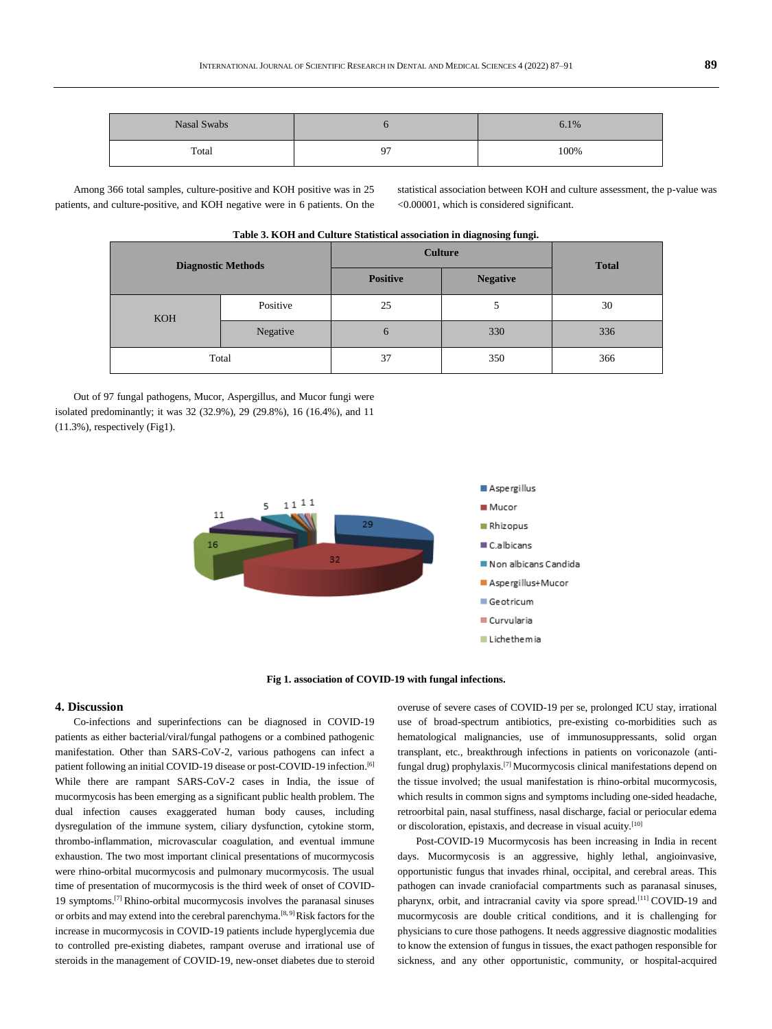| Nasal Swabs |    | 6.1% |
|-------------|----|------|
| Total       | 07 | 100% |

Among 366 total samples, culture-positive and KOH positive was in 25 patients, and culture-positive, and KOH negative were in 6 patients. On the statistical association between KOH and culture assessment, the p-value was <0.00001, which is considered significant.

| <b>Diagnostic Methods</b> |          | <b>Culture</b>  |                 | <b>Total</b> |
|---------------------------|----------|-----------------|-----------------|--------------|
|                           |          | <b>Positive</b> | <b>Negative</b> |              |
| <b>KOH</b>                | Positive | 25              | C               | 30           |
|                           | Negative | 6               | 330             | 336          |
| Total                     |          | 37              | 350             | 366          |

#### **Table 3. KOH and Culture Statistical association in diagnosing fungi.**

Out of 97 fungal pathogens, Mucor, Aspergillus, and Mucor fungi were isolated predominantly; it was 32 (32.9%), 29 (29.8%), 16 (16.4%), and 11 (11.3%), respectively (Fig1).



**Fig 1. association of COVID-19 with fungal infections.**

#### **4. Discussion**

Co-infections and superinfections can be diagnosed in COVID-19 patients as either bacterial/viral/fungal pathogens or a combined pathogenic manifestation. Other than SARS-CoV-2, various pathogens can infect a patient following an initial COVID-19 disease or post-COVID-19 infection.<sup>[6]</sup> While there are rampant SARS-CoV-2 cases in India, the issue of mucormycosis has been emerging as a significant public health problem. The dual infection causes exaggerated human body causes, including dysregulation of the immune system, ciliary dysfunction, cytokine storm, thrombo-inflammation, microvascular coagulation, and eventual immune exhaustion. The two most important clinical presentations of mucormycosis were rhino-orbital mucormycosis and pulmonary mucormycosis. The usual time of presentation of mucormycosis is the third week of onset of COVID-19 symptoms.[7] Rhino-orbital mucormycosis involves the paranasal sinuses or orbits and may extend into the cerebral parenchyma.<sup>[8, 9]</sup>Risk factors for the increase in mucormycosis in COVID-19 patients include hyperglycemia due to controlled pre-existing diabetes, rampant overuse and irrational use of steroids in the management of COVID-19, new-onset diabetes due to steroid overuse of severe cases of COVID-19 per se, prolonged ICU stay, irrational use of broad-spectrum antibiotics, pre-existing co-morbidities such as hematological malignancies, use of immunosuppressants, solid organ transplant, etc., breakthrough infections in patients on voriconazole (antifungal drug) prophylaxis.[7] Mucormycosis clinical manifestations depend on the tissue involved; the usual manifestation is rhino-orbital mucormycosis, which results in common signs and symptoms including one-sided headache, retroorbital pain, nasal stuffiness, nasal discharge, facial or periocular edema or discoloration, epistaxis, and decrease in visual acuity.<sup>[10]</sup>

Post-COVID-19 Mucormycosis has been increasing in India in recent days. Mucormycosis is an aggressive, highly lethal, angioinvasive, opportunistic fungus that invades rhinal, occipital, and cerebral areas. This pathogen can invade craniofacial compartments such as paranasal sinuses, pharynx, orbit, and intracranial cavity via spore spread.<sup>[11]</sup> COVID-19 and mucormycosis are double critical conditions, and it is challenging for physicians to cure those pathogens. It needs aggressive diagnostic modalities to know the extension of fungus in tissues, the exact pathogen responsible for sickness, and any other opportunistic, community, or hospital-acquired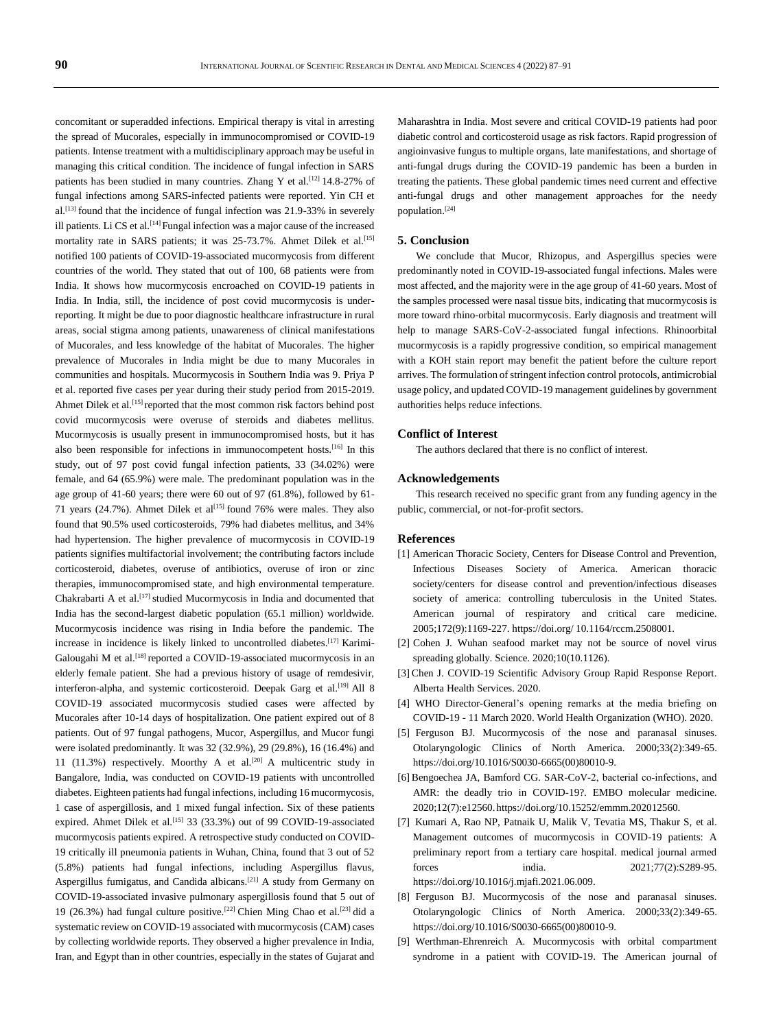concomitant or superadded infections. Empirical therapy is vital in arresting the spread of Mucorales, especially in immunocompromised or COVID-19 patients. Intense treatment with a multidisciplinary approach may be useful in managing this critical condition. The incidence of fungal infection in SARS patients has been studied in many countries. Zhang Y et al.<sup>[12]</sup> 14.8-27% of fungal infections among SARS-infected patients were reported. Yin CH et al.<sup>[13]</sup> found that the incidence of fungal infection was 21.9-33% in severely ill patients. Li CS et al.<sup>[14]</sup> Fungal infection was a major cause of the increased mortality rate in SARS patients; it was 25-73.7%. Ahmet Dilek et al.<sup>[15]</sup> notified 100 patients of COVID-19-associated mucormycosis from different countries of the world. They stated that out of 100, 68 patients were from India. It shows how mucormycosis encroached on COVID-19 patients in India. In India, still, the incidence of post covid mucormycosis is underreporting. It might be due to poor diagnostic healthcare infrastructure in rural areas, social stigma among patients, unawareness of clinical manifestations of Mucorales, and less knowledge of the habitat of Mucorales. The higher prevalence of Mucorales in India might be due to many Mucorales in communities and hospitals. Mucormycosis in Southern India was 9. Priya P et al. reported five cases per year during their study period from 2015-2019. Ahmet Dilek et al.<sup>[15]</sup> reported that the most common risk factors behind post covid mucormycosis were overuse of steroids and diabetes mellitus. Mucormycosis is usually present in immunocompromised hosts, but it has also been responsible for infections in immunocompetent hosts.<sup>[16]</sup> In this study, out of 97 post covid fungal infection patients, 33 (34.02%) were female, and 64 (65.9%) were male. The predominant population was in the age group of 41-60 years; there were 60 out of 97 (61.8%), followed by 61- 71 years (24.7%). Ahmet Dilek et al<sup>[15]</sup> found 76% were males. They also found that 90.5% used corticosteroids, 79% had diabetes mellitus, and 34% had hypertension. The higher prevalence of mucormycosis in COVID-19 patients signifies multifactorial involvement; the contributing factors include corticosteroid, diabetes, overuse of antibiotics, overuse of iron or zinc therapies, immunocompromised state, and high environmental temperature. Chakrabarti A et al.[17] studied Mucormycosis in India and documented that India has the second-largest diabetic population (65.1 million) worldwide. Mucormycosis incidence was rising in India before the pandemic. The increase in incidence is likely linked to uncontrolled diabetes.<sup>[17]</sup> Karimi-Galougahi M et al.<sup>[18]</sup> reported a COVID-19-associated mucormycosis in an elderly female patient. She had a previous history of usage of remdesivir, interferon-alpha, and systemic corticosteroid. Deepak Garg et al.<sup>[19]</sup> All 8 COVID-19 associated mucormycosis studied cases were affected by Mucorales after 10-14 days of hospitalization. One patient expired out of 8 patients. Out of 97 fungal pathogens, Mucor, Aspergillus, and Mucor fungi were isolated predominantly. It was 32 (32.9%), 29 (29.8%), 16 (16.4%) and 11 (11.3%) respectively. Moorthy A et al.<sup>[20]</sup> A multicentric study in Bangalore, India, was conducted on COVID-19 patients with uncontrolled diabetes. Eighteen patients had fungal infections, including 16 mucormycosis, 1 case of aspergillosis, and 1 mixed fungal infection. Six of these patients expired. Ahmet Dilek et al.<sup>[15]</sup> 33 (33.3%) out of 99 COVID-19-associated mucormycosis patients expired. A retrospective study conducted on COVID-19 critically ill pneumonia patients in Wuhan, China, found that 3 out of 52 (5.8%) patients had fungal infections, including Aspergillus flavus, Aspergillus fumigatus, and Candida albicans.<sup>[21]</sup> A study from Germany on COVID-19-associated invasive pulmonary aspergillosis found that 5 out of 19 (26.3%) had fungal culture positive.[22] Chien Ming Chao et al.[23] did a systematic review on COVID-19 associated with mucormycosis (CAM) cases by collecting worldwide reports. They observed a higher prevalence in India, Iran, and Egypt than in other countries, especially in the states of Gujarat and

Maharashtra in India. Most severe and critical COVID-19 patients had poor diabetic control and corticosteroid usage as risk factors. Rapid progression of angioinvasive fungus to multiple organs, late manifestations, and shortage of anti-fungal drugs during the COVID-19 pandemic has been a burden in treating the patients. These global pandemic times need current and effective anti-fungal drugs and other management approaches for the needy population.[24]

#### **5. Conclusion**

We conclude that Mucor, Rhizopus, and Aspergillus species were predominantly noted in COVID-19-associated fungal infections. Males were most affected, and the majority were in the age group of 41-60 years. Most of the samples processed were nasal tissue bits, indicating that mucormycosis is more toward rhino-orbital mucormycosis. Early diagnosis and treatment will help to manage SARS-CoV-2-associated fungal infections. Rhinoorbital mucormycosis is a rapidly progressive condition, so empirical management with a KOH stain report may benefit the patient before the culture report arrives. The formulation of stringent infection control protocols, antimicrobial usage policy, and updated COVID-19 management guidelines by government authorities helps reduce infections.

#### **Conflict of Interest**

The authors declared that there is no conflict of interest.

#### **Acknowledgements**

This research received no specific grant from any funding agency in the public, commercial, or not-for-profit sectors.

#### **References**

- [1] American Thoracic Society, Centers for Disease Control and Prevention, Infectious Diseases Society of America. American thoracic society/centers for disease control and prevention/infectious diseases society of america: controlling tuberculosis in the United States. American journal of respiratory and critical care medicine. 2005;172(9):1169-227. https://doi.org/ 10.1164/rccm.2508001.
- [2] Cohen J. Wuhan seafood market may not be source of novel virus spreading globally. Science. 2020;10(10.1126).
- [3] Chen J. COVID-19 Scientific Advisory Group Rapid Response Report. Alberta Health Services. 2020.
- [4] WHO Director-General's opening remarks at the media briefing on COVID-19 - 11 March 2020. World Health Organization (WHO). 2020.
- [5] Ferguson BJ. Mucormycosis of the nose and paranasal sinuses. Otolaryngologic Clinics of North America. 2000;33(2):349-65. https://doi.org/10.1016/S0030-6665(00)80010-9.
- [6] Bengoechea JA, Bamford CG. SAR-CoV-2, bacterial co-infections, and AMR: the deadly trio in COVID-19?. EMBO molecular medicine. 2020;12(7):e12560.https://doi.org/10.15252/emmm.202012560.
- [7] Kumari A, Rao NP, Patnaik U, Malik V, Tevatia MS, Thakur S, et al. Management outcomes of mucormycosis in COVID-19 patients: A preliminary report from a tertiary care hospital. medical journal armed forces india. 2021;77(2):S289-95. https://doi.org/10.1016/j.mjafi.2021.06.009.
- [8] Ferguson BJ. Mucormycosis of the nose and paranasal sinuses. Otolaryngologic Clinics of North America. 2000;33(2):349-65. https://doi.org/10.1016/S0030-6665(00)80010-9.
- [9] Werthman-Ehrenreich A. Mucormycosis with orbital compartment syndrome in a patient with COVID-19. The American journal of